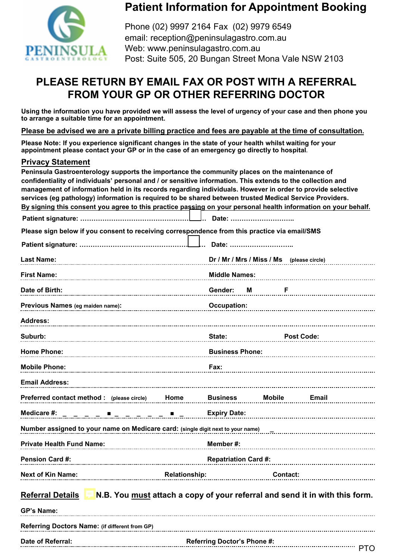

## **Patient Information for Appointment Booking**

Phone (02) 9997 2164 Fax (02) 9979 6549 email: reception@peninsulagastro.com.au Web: www.peninsulagastro.com.au Post: Suite 505, 20 Bungan Street Mona Vale NSW 2103

## **PLEASE RETURN BY EMAIL FAX OR POST WITH A REFERRAL FROM YOUR GP OR OTHER REFERRING DOCTOR**

**Using the information you have provided we will assess the level of urgency of your case and then phone you to arrange a suitable time for an appointment.** 

**Please be advised we are a private billing practice and fees are payable at the time of consultation.** 

**Please Note: If you experience significant changes in the state of your health whilst waiting for your appointment please contact your GP or in the case of an emergency go directly to hospital.** 

## **Privacy Statement**

**Date of Referral:** <br> **Referral:** 2000 **Referral:** 2000 **Referral:** 2000 **Referral:** 2000 **Referral:** 2000

| Peninsula Gastroenterology supports the importance the community places on the maintenance of                  |                                                                             |                                           |               |                   |       |  |
|----------------------------------------------------------------------------------------------------------------|-----------------------------------------------------------------------------|-------------------------------------------|---------------|-------------------|-------|--|
| confidentiality of individuals' personal and / or sensitive information. This extends to the collection and    |                                                                             |                                           |               |                   |       |  |
| management of information held in its records regarding individuals. However in order to provide selective     |                                                                             |                                           |               |                   |       |  |
| services (eg pathology) information is required to be shared between trusted Medical Service Providers.        |                                                                             |                                           |               |                   |       |  |
| By signing this consent you agree to this practice passing on your personal health information on your behalf. |                                                                             |                                           |               |                   |       |  |
|                                                                                                                |                                                                             | 」 Date: …………………………                        |               |                   |       |  |
| Please sign below if you consent to receiving correspondence from this practice via email/SMS                  |                                                                             |                                           |               |                   |       |  |
|                                                                                                                |                                                                             | Date:                                     |               |                   |       |  |
| <b>Last Name:</b>                                                                                              |                                                                             | Dr / Mr / Mrs / Miss / Ms (please circle) |               |                   |       |  |
|                                                                                                                |                                                                             |                                           |               |                   |       |  |
| <b>First Name:</b>                                                                                             |                                                                             | <b>Middle Names:</b>                      |               |                   |       |  |
| Date of Birth:                                                                                                 |                                                                             | Gender:                                   | М             | F                 |       |  |
| Previous Names (eg maiden name):                                                                               |                                                                             | <b>Occupation:</b>                        |               |                   |       |  |
| <b>Address:</b>                                                                                                |                                                                             |                                           |               |                   |       |  |
| Suburb:                                                                                                        |                                                                             | State:                                    |               | <b>Post Code:</b> |       |  |
| <b>Home Phone:</b>                                                                                             |                                                                             | <b>Business Phone:</b>                    |               |                   |       |  |
| <b>Mobile Phone:</b>                                                                                           |                                                                             | Fax:                                      |               |                   |       |  |
| <b>Email Address:</b>                                                                                          |                                                                             |                                           |               |                   |       |  |
| Preferred contact method : (please circle)                                                                     | Home                                                                        | <b>Business</b>                           | <b>Mobile</b> |                   | Email |  |
| Medicare #:                                                                                                    |                                                                             | <b>Expiry Date:</b>                       |               |                   |       |  |
| Number assigned to your name on Medicare card: (single digit next to your name)                                |                                                                             |                                           |               |                   |       |  |
| <b>Private Health Fund Name:</b>                                                                               |                                                                             | Member#:                                  |               |                   |       |  |
| Pension Card #:                                                                                                |                                                                             | <b>Repatriation Card #:</b>               |               |                   |       |  |
| <b>Next of Kin Name:</b>                                                                                       | <b>Relationship:</b>                                                        |                                           |               | Contact:          |       |  |
|                                                                                                                |                                                                             |                                           |               |                   |       |  |
| <b>Referral Details</b>                                                                                        | N.B. You must attach a copy of your referral and send it in with this form. |                                           |               |                   |       |  |
| <b>GP's Name:</b>                                                                                              |                                                                             |                                           |               |                   |       |  |
| Referring Doctors Name: (if different from GP)                                                                 |                                                                             |                                           |               |                   |       |  |

Referring Doctor's Phone #:<br>
FTO